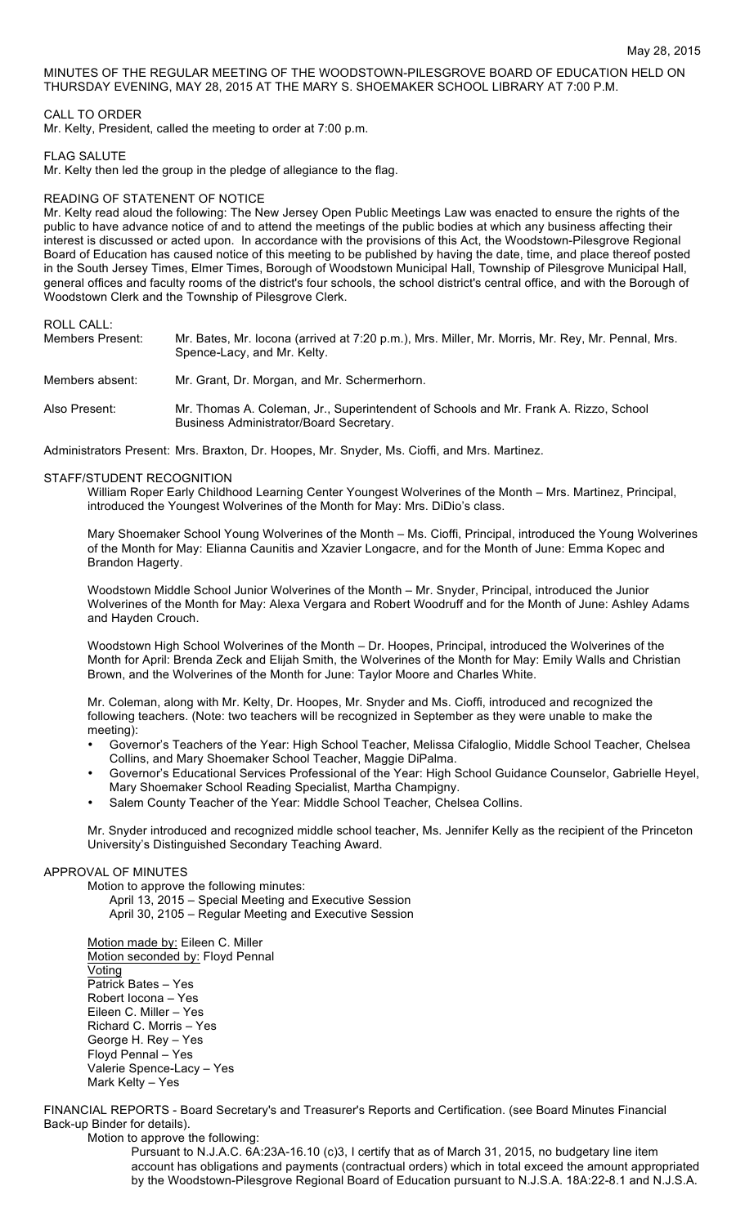MINUTES OF THE REGULAR MEETING OF THE WOODSTOWN-PILESGROVE BOARD OF EDUCATION HELD ON THURSDAY EVENING, MAY 28, 2015 AT THE MARY S. SHOEMAKER SCHOOL LIBRARY AT 7:00 P.M.

## CALL TO ORDER

Mr. Kelty, President, called the meeting to order at 7:00 p.m.

#### FLAG SALUTE

Mr. Kelty then led the group in the pledge of allegiance to the flag.

## READING OF STATENENT OF NOTICE

Mr. Kelty read aloud the following: The New Jersey Open Public Meetings Law was enacted to ensure the rights of the public to have advance notice of and to attend the meetings of the public bodies at which any business affecting their interest is discussed or acted upon. In accordance with the provisions of this Act, the Woodstown-Pilesgrove Regional Board of Education has caused notice of this meeting to be published by having the date, time, and place thereof posted in the South Jersey Times, Elmer Times, Borough of Woodstown Municipal Hall, Township of Pilesgrove Municipal Hall, general offices and faculty rooms of the district's four schools, the school district's central office, and with the Borough of Woodstown Clerk and the Township of Pilesgrove Clerk.

# ROLL CALL:

| Members Present: | Mr. Bates, Mr. locona (arrived at 7:20 p.m.), Mrs. Miller, Mr. Morris, Mr. Rey, Mr. Pennal, Mrs.<br>Spence-Lacy, and Mr. Kelty. |
|------------------|---------------------------------------------------------------------------------------------------------------------------------|
| Members absent:  | Mr. Grant, Dr. Morgan, and Mr. Schermerhorn.                                                                                    |
| Also Present:    | Mr. Thomas A. Coleman, Jr., Superintendent of Schools and Mr. Frank A. Rizzo, School<br>Business Administrator/Board Secretary. |

Administrators Present: Mrs. Braxton, Dr. Hoopes, Mr. Snyder, Ms. Cioffi, and Mrs. Martinez.

### STAFF/STUDENT RECOGNITION

William Roper Early Childhood Learning Center Youngest Wolverines of the Month – Mrs. Martinez, Principal, introduced the Youngest Wolverines of the Month for May: Mrs. DiDio's class.

Mary Shoemaker School Young Wolverines of the Month – Ms. Cioffi, Principal, introduced the Young Wolverines of the Month for May: Elianna Caunitis and Xzavier Longacre, and for the Month of June: Emma Kopec and Brandon Hagerty.

Woodstown Middle School Junior Wolverines of the Month – Mr. Snyder, Principal, introduced the Junior Wolverines of the Month for May: Alexa Vergara and Robert Woodruff and for the Month of June: Ashley Adams and Hayden Crouch.

Woodstown High School Wolverines of the Month – Dr. Hoopes, Principal, introduced the Wolverines of the Month for April: Brenda Zeck and Elijah Smith, the Wolverines of the Month for May: Emily Walls and Christian Brown, and the Wolverines of the Month for June: Taylor Moore and Charles White.

Mr. Coleman, along with Mr. Kelty, Dr. Hoopes, Mr. Snyder and Ms. Cioffi, introduced and recognized the following teachers. (Note: two teachers will be recognized in September as they were unable to make the meeting):

- Governor's Teachers of the Year: High School Teacher, Melissa Cifaloglio, Middle School Teacher, Chelsea Collins, and Mary Shoemaker School Teacher, Maggie DiPalma.
- Governor's Educational Services Professional of the Year: High School Guidance Counselor, Gabrielle Heyel, Mary Shoemaker School Reading Specialist, Martha Champigny.
- Salem County Teacher of the Year: Middle School Teacher, Chelsea Collins.

Mr. Snyder introduced and recognized middle school teacher, Ms. Jennifer Kelly as the recipient of the Princeton University's Distinguished Secondary Teaching Award.

# APPROVAL OF MINUTES

Motion to approve the following minutes: April 13, 2015 – Special Meeting and Executive Session April 30, 2105 – Regular Meeting and Executive Session

Motion made by: Eileen C. Miller Motion seconded by: Floyd Pennal Voting Patrick Bates – Yes Robert Iocona – Yes Eileen C. Miller – Yes Richard C. Morris – Yes George H. Rey – Yes Floyd Pennal – Yes Valerie Spence-Lacy – Yes Mark Kelty – Yes

FINANCIAL REPORTS - Board Secretary's and Treasurer's Reports and Certification. (see Board Minutes Financial Back-up Binder for details).

Motion to approve the following:

Pursuant to N.J.A.C. 6A:23A-16.10 (c)3, I certify that as of March 31, 2015, no budgetary line item account has obligations and payments (contractual orders) which in total exceed the amount appropriated by the Woodstown-Pilesgrove Regional Board of Education pursuant to N.J.S.A. 18A:22-8.1 and N.J.S.A.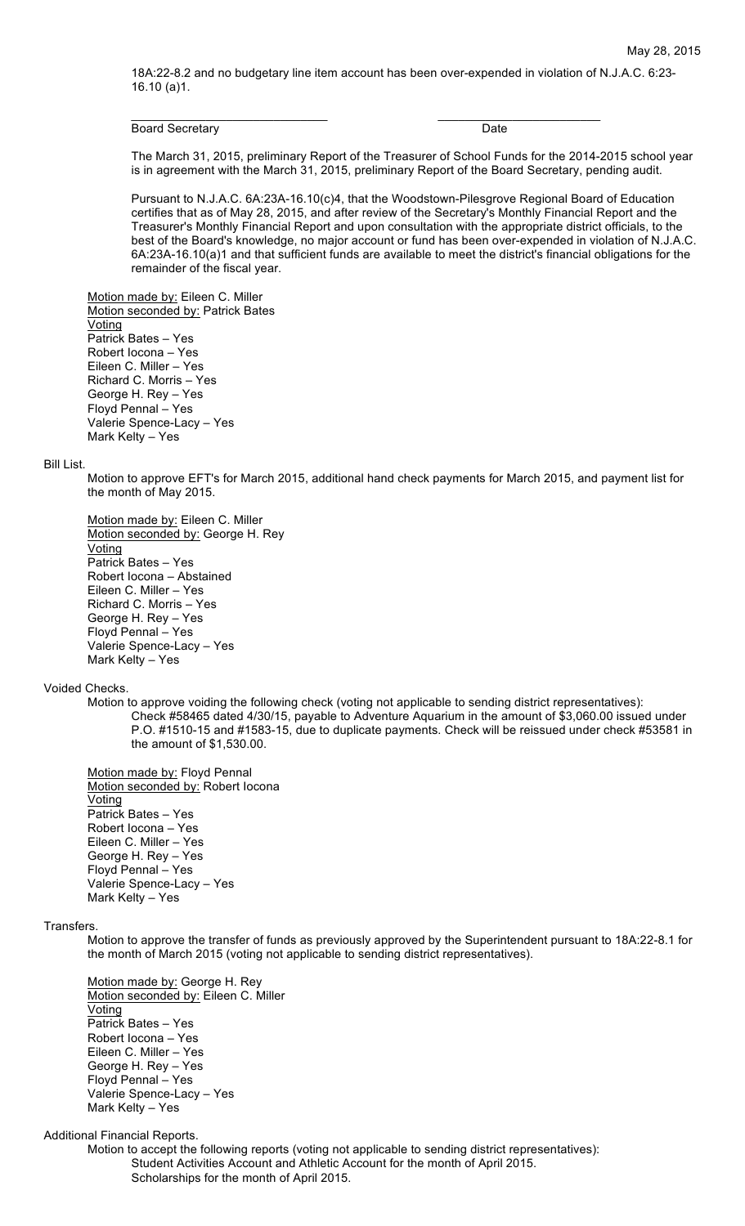18A:22-8.2 and no budgetary line item account has been over-expended in violation of N.J.A.C. 6:23- 16.10 (a)1.

 $\overline{\phantom{a}}$  , and the contribution of the contribution of  $\overline{\phantom{a}}$  , and  $\overline{\phantom{a}}$  , and  $\overline{\phantom{a}}$  , and  $\overline{\phantom{a}}$ 

#### Board Secretary Date **Date**

The March 31, 2015, preliminary Report of the Treasurer of School Funds for the 2014-2015 school year is in agreement with the March 31, 2015, preliminary Report of the Board Secretary, pending audit.

Pursuant to N.J.A.C. 6A:23A-16.10(c)4, that the Woodstown-Pilesgrove Regional Board of Education certifies that as of May 28, 2015, and after review of the Secretary's Monthly Financial Report and the Treasurer's Monthly Financial Report and upon consultation with the appropriate district officials, to the best of the Board's knowledge, no major account or fund has been over-expended in violation of N.J.A.C. 6A:23A-16.10(a)1 and that sufficient funds are available to meet the district's financial obligations for the remainder of the fiscal year.

Motion made by: Eileen C. Miller

Motion seconded by: Patrick Bates **Voting** Patrick Bates – Yes Robert Iocona – Yes Eileen C. Miller – Yes Richard C. Morris – Yes George H. Rey – Yes Floyd Pennal – Yes Valerie Spence-Lacy – Yes Mark Kelty – Yes

#### Bill List.

Motion to approve EFT's for March 2015, additional hand check payments for March 2015, and payment list for the month of May 2015.

Motion made by: Eileen C. Miller Motion seconded by: George H. Rey Voting Patrick Bates – Yes Robert Iocona – Abstained Eileen C. Miller – Yes Richard C. Morris – Yes George H. Rey – Yes Floyd Pennal – Yes Valerie Spence-Lacy – Yes Mark Kelty – Yes

#### Voided Checks.

Motion to approve voiding the following check (voting not applicable to sending district representatives): Check #58465 dated 4/30/15, payable to Adventure Aquarium in the amount of \$3,060.00 issued under P.O. #1510-15 and #1583-15, due to duplicate payments. Check will be reissued under check #53581 in the amount of \$1,530.00.

Motion made by: Floyd Pennal Motion seconded by: Robert locona **Voting** Patrick Bates – Yes Robert Iocona – Yes Eileen C. Miller – Yes George H. Rey – Yes Floyd Pennal – Yes Valerie Spence-Lacy – Yes Mark Kelty – Yes

## Transfers.

Motion to approve the transfer of funds as previously approved by the Superintendent pursuant to 18A:22-8.1 for the month of March 2015 (voting not applicable to sending district representatives).

Motion made by: George H. Rey Motion seconded by: Eileen C. Miller Voting Patrick Bates – Yes Robert Iocona – Yes Eileen C. Miller – Yes George H. Rey – Yes Floyd Pennal – Yes Valerie Spence-Lacy – Yes Mark Kelty – Yes

## Additional Financial Reports.

Motion to accept the following reports (voting not applicable to sending district representatives): Student Activities Account and Athletic Account for the month of April 2015. Scholarships for the month of April 2015.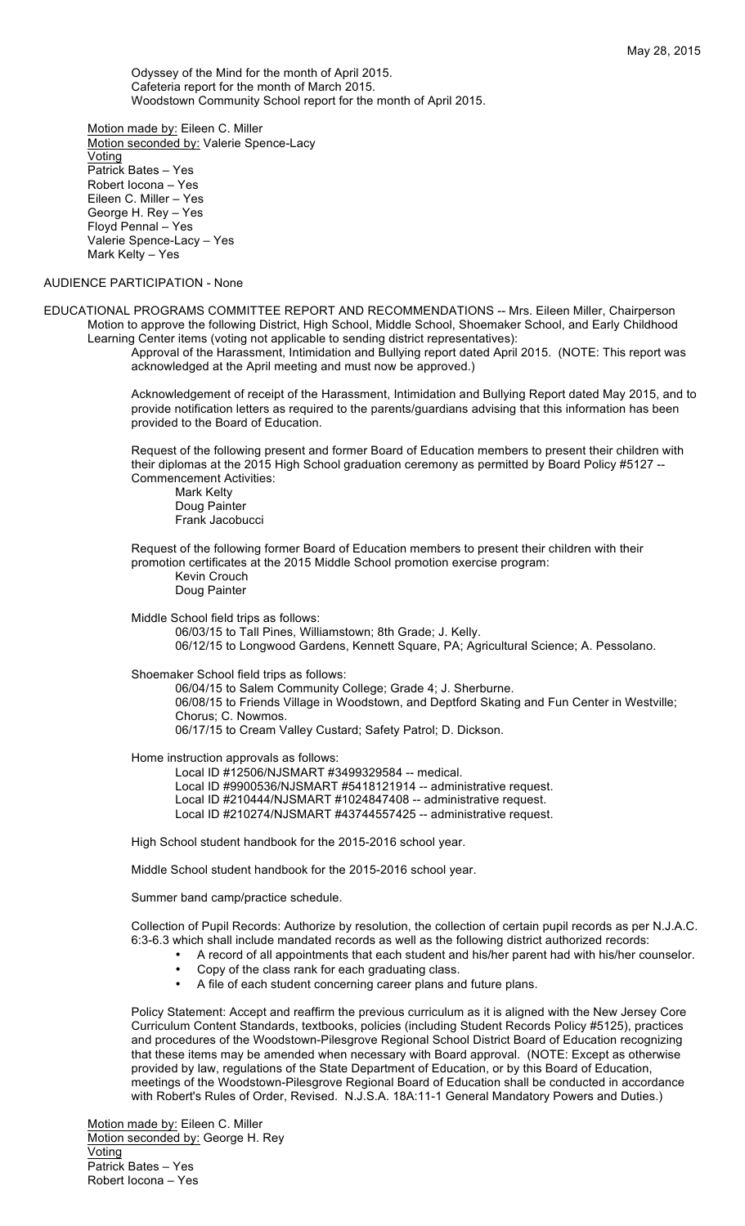Odyssey of the Mind for the month of April 2015. Cafeteria report for the month of March 2015. Woodstown Community School report for the month of April 2015.

Motion made by: Eileen C. Miller Motion seconded by: Valerie Spence-Lacy Voting Patrick Bates – Yes Robert Iocona – Yes Eileen C. Miller – Yes George H. Rey – Yes Floyd Pennal – Yes Valerie Spence-Lacy – Yes Mark Kelty – Yes

## AUDIENCE PARTICIPATION - None

EDUCATIONAL PROGRAMS COMMITTEE REPORT AND RECOMMENDATIONS -- Mrs. Eileen Miller, Chairperson Motion to approve the following District, High School, Middle School, Shoemaker School, and Early Childhood Learning Center items (voting not applicable to sending district representatives):

Approval of the Harassment, Intimidation and Bullying report dated April 2015. (NOTE: This report was acknowledged at the April meeting and must now be approved.)

Acknowledgement of receipt of the Harassment, Intimidation and Bullying Report dated May 2015, and to provide notification letters as required to the parents/guardians advising that this information has been provided to the Board of Education.

Request of the following present and former Board of Education members to present their children with their diplomas at the 2015 High School graduation ceremony as permitted by Board Policy #5127 -- Commencement Activities:

Mark Kelty Doug Painter Frank Jacobucci

Request of the following former Board of Education members to present their children with their promotion certificates at the 2015 Middle School promotion exercise program:

Kevin Crouch Doug Painter

Middle School field trips as follows: 06/03/15 to Tall Pines, Williamstown; 8th Grade; J. Kelly.

06/12/15 to Longwood Gardens, Kennett Square, PA; Agricultural Science; A. Pessolano.

Shoemaker School field trips as follows:

06/04/15 to Salem Community College; Grade 4; J. Sherburne. 06/08/15 to Friends Village in Woodstown, and Deptford Skating and Fun Center in Westville; Chorus; C. Nowmos. 06/17/15 to Cream Valley Custard; Safety Patrol; D. Dickson.

Home instruction approvals as follows:

Local ID #12506/NJSMART #3499329584 -- medical. Local ID #9900536/NJSMART #5418121914 -- administrative request. Local ID #210444/NJSMART #1024847408 -- administrative request. Local ID #210274/NJSMART #43744557425 -- administrative request.

High School student handbook for the 2015-2016 school year.

Middle School student handbook for the 2015-2016 school year.

Summer band camp/practice schedule.

Collection of Pupil Records: Authorize by resolution, the collection of certain pupil records as per N.J.A.C. 6:3-6.3 which shall include mandated records as well as the following district authorized records:

- A record of all appointments that each student and his/her parent had with his/her counselor.
- Copy of the class rank for each graduating class.<br>• A file of each student concerning career plans an
- A file of each student concerning career plans and future plans.

Policy Statement: Accept and reaffirm the previous curriculum as it is aligned with the New Jersey Core Curriculum Content Standards, textbooks, policies (including Student Records Policy #5125), practices and procedures of the Woodstown-Pilesgrove Regional School District Board of Education recognizing that these items may be amended when necessary with Board approval. (NOTE: Except as otherwise provided by law, regulations of the State Department of Education, or by this Board of Education, meetings of the Woodstown-Pilesgrove Regional Board of Education shall be conducted in accordance with Robert's Rules of Order, Revised. N.J.S.A. 18A:11-1 General Mandatory Powers and Duties.)

Motion made by: Eileen C. Miller Motion seconded by: George H. Rey **Voting** Patrick Bates – Yes Robert Iocona – Yes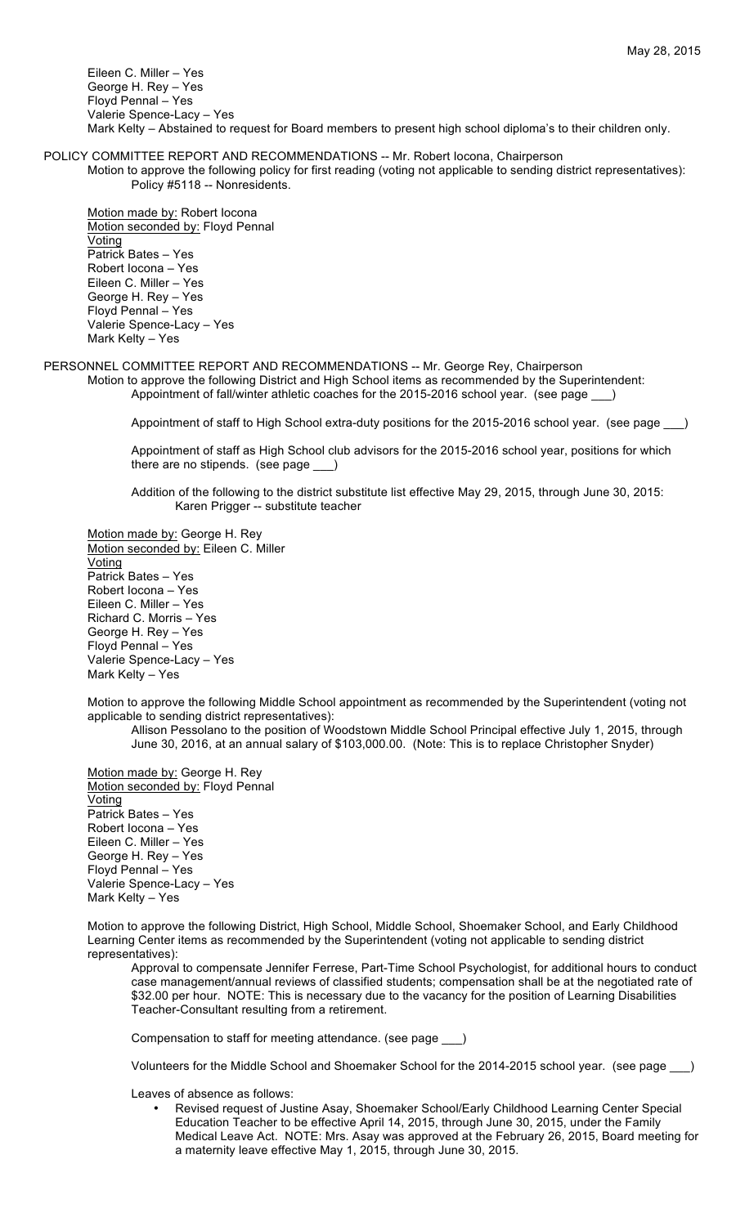Eileen C. Miller – Yes George H. Rey – Yes Floyd Pennal – Yes Valerie Spence-Lacy – Yes Mark Kelty – Abstained to request for Board members to present high school diploma's to their children only.

POLICY COMMITTEE REPORT AND RECOMMENDATIONS -- Mr. Robert Iocona, Chairperson

Motion to approve the following policy for first reading (voting not applicable to sending district representatives): Policy #5118 -- Nonresidents.

Motion made by: Robert Iocona Motion seconded by: Floyd Pennal **Voting** Patrick Bates – Yes Robert Iocona – Yes Eileen C. Miller – Yes George H. Rey – Yes Floyd Pennal – Yes Valerie Spence-Lacy – Yes Mark Kelty – Yes

PERSONNEL COMMITTEE REPORT AND RECOMMENDATIONS -- Mr. George Rey, Chairperson Motion to approve the following District and High School items as recommended by the Superintendent:

Appointment of fall/winter athletic coaches for the 2015-2016 school year. (see page \_\_\_)

Appointment of staff to High School extra-duty positions for the 2015-2016 school year. (see page \_\_\_)

Appointment of staff as High School club advisors for the 2015-2016 school year, positions for which there are no stipends. (see page \_\_\_)

Addition of the following to the district substitute list effective May 29, 2015, through June 30, 2015: Karen Prigger -- substitute teacher

Motion made by: George H. Rey Motion seconded by: Eileen C. Miller Voting Patrick Bates – Yes Robert Iocona – Yes Eileen C. Miller – Yes Richard C. Morris – Yes George H. Rey – Yes Floyd Pennal – Yes Valerie Spence-Lacy – Yes Mark Kelty – Yes

Motion to approve the following Middle School appointment as recommended by the Superintendent (voting not applicable to sending district representatives):

Allison Pessolano to the position of Woodstown Middle School Principal effective July 1, 2015, through June 30, 2016, at an annual salary of \$103,000.00. (Note: This is to replace Christopher Snyder)

Motion made by: George H. Rey Motion seconded by: Floyd Pennal **Voting** Patrick Bates – Yes Robert Iocona – Yes Eileen C. Miller – Yes George H. Rey – Yes Floyd Pennal – Yes Valerie Spence-Lacy – Yes Mark Kelty – Yes

Motion to approve the following District, High School, Middle School, Shoemaker School, and Early Childhood Learning Center items as recommended by the Superintendent (voting not applicable to sending district representatives):

Approval to compensate Jennifer Ferrese, Part-Time School Psychologist, for additional hours to conduct case management/annual reviews of classified students; compensation shall be at the negotiated rate of \$32.00 per hour. NOTE: This is necessary due to the vacancy for the position of Learning Disabilities Teacher-Consultant resulting from a retirement.

Compensation to staff for meeting attendance. (see page \_\_\_)

Volunteers for the Middle School and Shoemaker School for the 2014-2015 school year. (see page \_\_\_)

Leaves of absence as follows:

• Revised request of Justine Asay, Shoemaker School/Early Childhood Learning Center Special Education Teacher to be effective April 14, 2015, through June 30, 2015, under the Family Medical Leave Act. NOTE: Mrs. Asay was approved at the February 26, 2015, Board meeting for a maternity leave effective May 1, 2015, through June 30, 2015.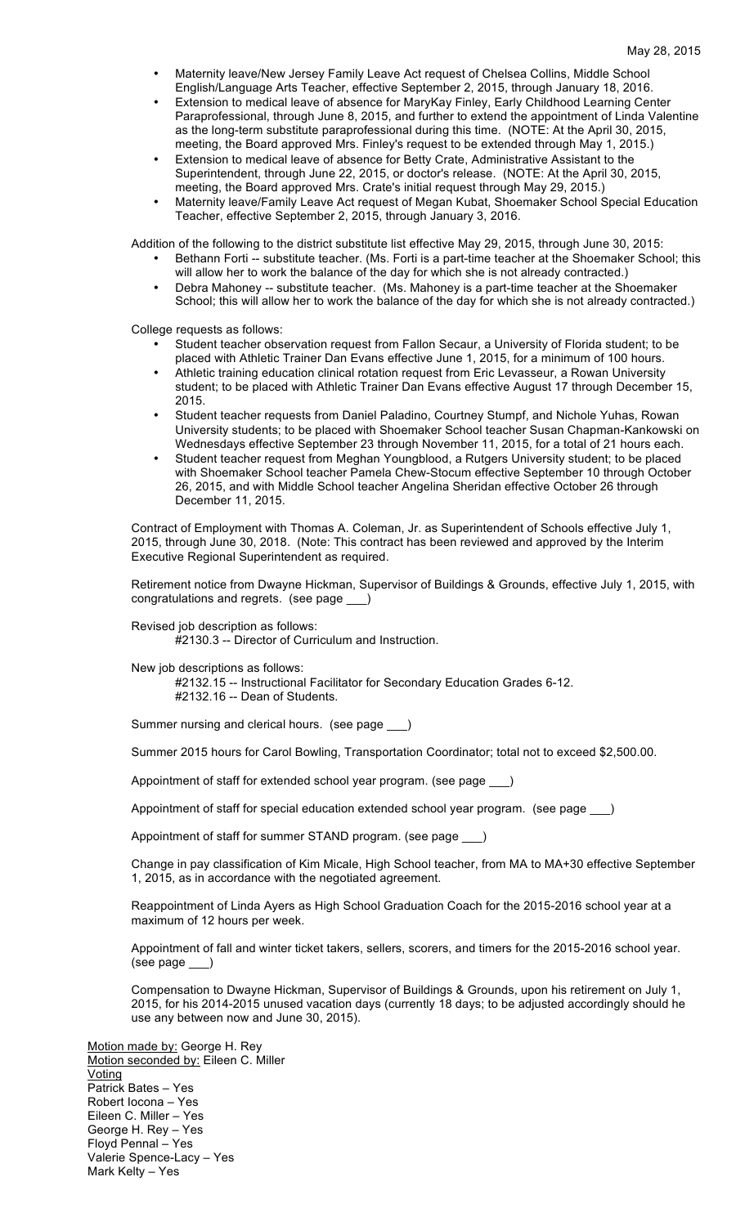- Maternity leave/New Jersey Family Leave Act request of Chelsea Collins, Middle School English/Language Arts Teacher, effective September 2, 2015, through January 18, 2016.
- Extension to medical leave of absence for MaryKay Finley, Early Childhood Learning Center Paraprofessional, through June 8, 2015, and further to extend the appointment of Linda Valentine as the long-term substitute paraprofessional during this time. (NOTE: At the April 30, 2015, meeting, the Board approved Mrs. Finley's request to be extended through May 1, 2015.)
- Extension to medical leave of absence for Betty Crate, Administrative Assistant to the Superintendent, through June 22, 2015, or doctor's release. (NOTE: At the April 30, 2015, meeting, the Board approved Mrs. Crate's initial request through May 29, 2015.)
- Maternity leave/Family Leave Act request of Megan Kubat, Shoemaker School Special Education Teacher, effective September 2, 2015, through January 3, 2016.

Addition of the following to the district substitute list effective May 29, 2015, through June 30, 2015:

- Bethann Forti -- substitute teacher. (Ms. Forti is a part-time teacher at the Shoemaker School; this will allow her to work the balance of the day for which she is not already contracted.)
- Debra Mahoney -- substitute teacher. (Ms. Mahoney is a part-time teacher at the Shoemaker School; this will allow her to work the balance of the day for which she is not already contracted.)

College requests as follows:

- Student teacher observation request from Fallon Secaur, a University of Florida student; to be placed with Athletic Trainer Dan Evans effective June 1, 2015, for a minimum of 100 hours.
- Athletic training education clinical rotation request from Eric Levasseur, a Rowan University student; to be placed with Athletic Trainer Dan Evans effective August 17 through December 15, 2015.
- Student teacher requests from Daniel Paladino, Courtney Stumpf, and Nichole Yuhas, Rowan University students; to be placed with Shoemaker School teacher Susan Chapman-Kankowski on Wednesdays effective September 23 through November 11, 2015, for a total of 21 hours each.
- Student teacher request from Meghan Youngblood, a Rutgers University student; to be placed with Shoemaker School teacher Pamela Chew-Stocum effective September 10 through October 26, 2015, and with Middle School teacher Angelina Sheridan effective October 26 through December 11, 2015.

Contract of Employment with Thomas A. Coleman, Jr. as Superintendent of Schools effective July 1, 2015, through June 30, 2018. (Note: This contract has been reviewed and approved by the Interim Executive Regional Superintendent as required.

Retirement notice from Dwayne Hickman, Supervisor of Buildings & Grounds, effective July 1, 2015, with congratulations and regrets. (see page \_\_\_)

Revised job description as follows:

#2130.3 -- Director of Curriculum and Instruction.

New job descriptions as follows:

#2132.15 -- Instructional Facilitator for Secondary Education Grades 6-12. #2132.16 -- Dean of Students.

Summer nursing and clerical hours. (see page \_\_\_)

Summer 2015 hours for Carol Bowling, Transportation Coordinator; total not to exceed \$2,500.00.

Appointment of staff for extended school year program. (see page \_\_\_)

Appointment of staff for special education extended school year program. (see page )

Appointment of staff for summer STAND program. (see page \_\_\_)

Change in pay classification of Kim Micale, High School teacher, from MA to MA+30 effective September 1, 2015, as in accordance with the negotiated agreement.

Reappointment of Linda Ayers as High School Graduation Coach for the 2015-2016 school year at a maximum of 12 hours per week.

Appointment of fall and winter ticket takers, sellers, scorers, and timers for the 2015-2016 school year. (see page \_\_\_)

Compensation to Dwayne Hickman, Supervisor of Buildings & Grounds, upon his retirement on July 1, 2015, for his 2014-2015 unused vacation days (currently 18 days; to be adjusted accordingly should he use any between now and June 30, 2015).

Motion made by: George H. Rey Motion seconded by: Eileen C. Miller Voting Patrick Bates – Yes Robert Iocona – Yes Eileen C. Miller – Yes George H. Rey – Yes Floyd Pennal – Yes Valerie Spence-Lacy – Yes Mark Kelty – Yes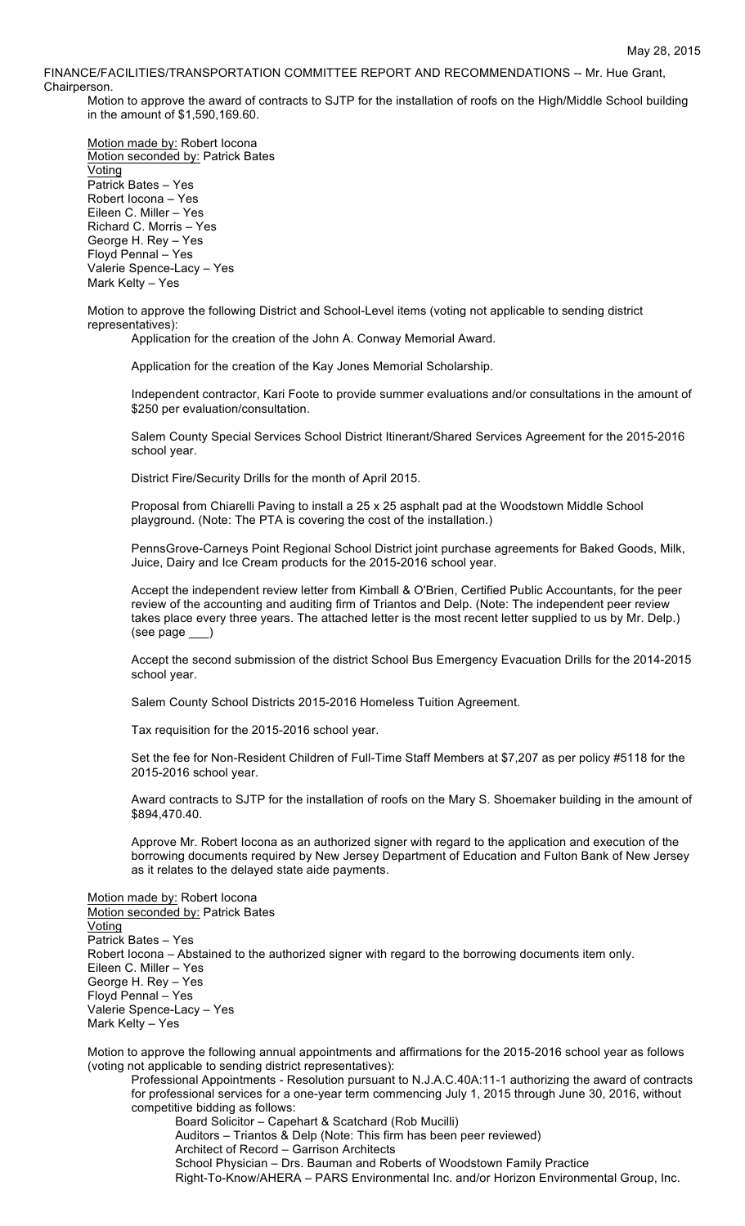FINANCE/FACILITIES/TRANSPORTATION COMMITTEE REPORT AND RECOMMENDATIONS -- Mr. Hue Grant, Chairperson.

Motion to approve the award of contracts to SJTP for the installation of roofs on the High/Middle School building in the amount of \$1,590,169.60.

Motion made by: Robert Iocona Motion seconded by: Patrick Bates Voting Patrick Bates – Yes Robert Iocona – Yes Eileen C. Miller – Yes Richard C. Morris – Yes George H. Rey – Yes Floyd Pennal – Yes Valerie Spence-Lacy – Yes Mark Kelty – Yes

Motion to approve the following District and School-Level items (voting not applicable to sending district representatives):

Application for the creation of the John A. Conway Memorial Award.

Application for the creation of the Kay Jones Memorial Scholarship.

Independent contractor, Kari Foote to provide summer evaluations and/or consultations in the amount of \$250 per evaluation/consultation.

Salem County Special Services School District Itinerant/Shared Services Agreement for the 2015-2016 school year.

District Fire/Security Drills for the month of April 2015.

Proposal from Chiarelli Paving to install a 25 x 25 asphalt pad at the Woodstown Middle School playground. (Note: The PTA is covering the cost of the installation.)

PennsGrove-Carneys Point Regional School District joint purchase agreements for Baked Goods, Milk, Juice, Dairy and Ice Cream products for the 2015-2016 school year.

Accept the independent review letter from Kimball & O'Brien, Certified Public Accountants, for the peer review of the accounting and auditing firm of Triantos and Delp. (Note: The independent peer review takes place every three years. The attached letter is the most recent letter supplied to us by Mr. Delp.) (see page \_\_\_)

Accept the second submission of the district School Bus Emergency Evacuation Drills for the 2014-2015 school year.

Salem County School Districts 2015-2016 Homeless Tuition Agreement.

Tax requisition for the 2015-2016 school year.

Set the fee for Non-Resident Children of Full-Time Staff Members at \$7,207 as per policy #5118 for the 2015-2016 school year.

Award contracts to SJTP for the installation of roofs on the Mary S. Shoemaker building in the amount of \$894,470.40.

Approve Mr. Robert Iocona as an authorized signer with regard to the application and execution of the borrowing documents required by New Jersey Department of Education and Fulton Bank of New Jersey as it relates to the delayed state aide payments.

Motion made by: Robert Iocona Motion seconded by: Patrick Bates **Voting** Patrick Bates – Yes Robert Iocona – Abstained to the authorized signer with regard to the borrowing documents item only. Eileen C. Miller – Yes George H. Rey – Yes Floyd Pennal – Yes Valerie Spence-Lacy – Yes Mark Kelty – Yes

Motion to approve the following annual appointments and affirmations for the 2015-2016 school year as follows (voting not applicable to sending district representatives):

Professional Appointments - Resolution pursuant to N.J.A.C.40A:11-1 authorizing the award of contracts for professional services for a one-year term commencing July 1, 2015 through June 30, 2016, without competitive bidding as follows:

Board Solicitor – Capehart & Scatchard (Rob Mucilli) Auditors – Triantos & Delp (Note: This firm has been peer reviewed) Architect of Record – Garrison Architects School Physician – Drs. Bauman and Roberts of Woodstown Family Practice Right-To-Know/AHERA – PARS Environmental Inc. and/or Horizon Environmental Group, Inc.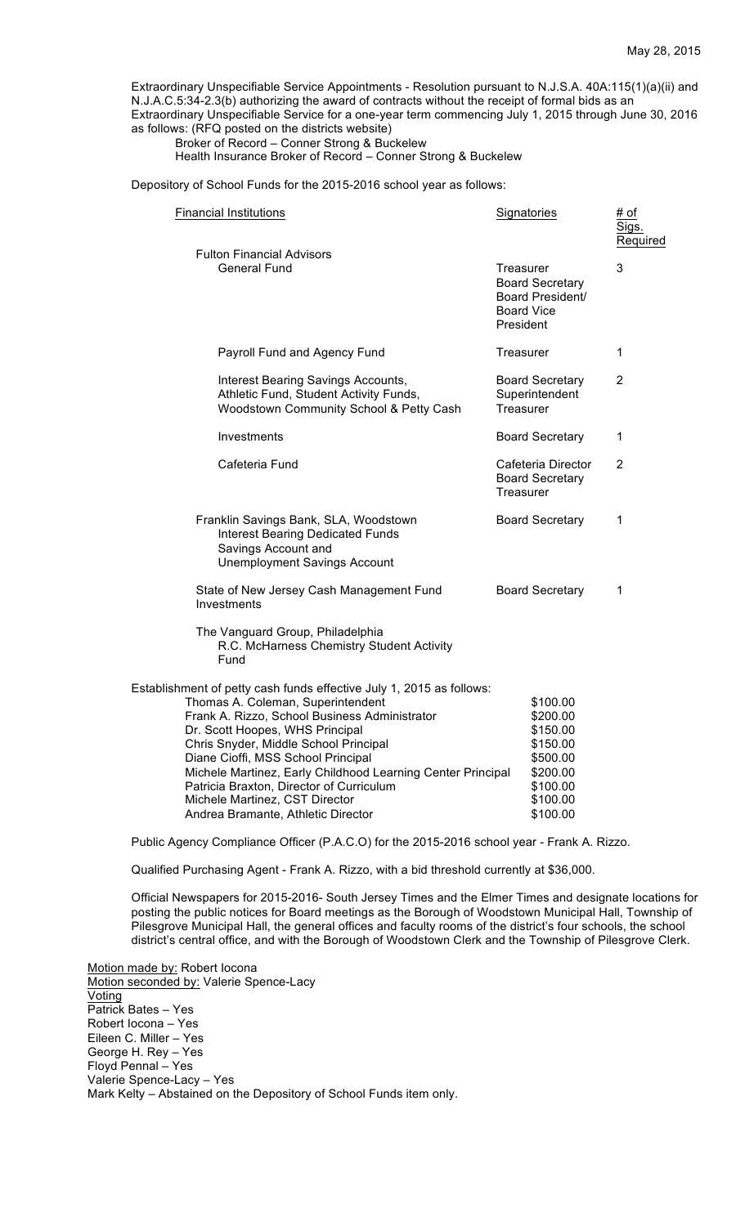Extraordinary Unspecifiable Service Appointments - Resolution pursuant to N.J.S.A. 40A:115(1)(a)(ii) and N.J.A.C.5:34-2.3(b) authorizing the award of contracts without the receipt of formal bids as an Extraordinary Unspecifiable Service for a one-year term commencing July 1, 2015 through June 30, 2016 as follows: (RFQ posted on the districts website)

Broker of Record – Conner Strong & Buckelew Health Insurance Broker of Record – Conner Strong & Buckelew

Depository of School Funds for the 2015-2016 school year as follows:

| <b>Financial Institutions</b>                                                                                                                                                                                                                                                                                                                                                                                                                                   | <b>Signatories</b>                                                                                       | # of<br>Sigs.<br>Required |  |
|-----------------------------------------------------------------------------------------------------------------------------------------------------------------------------------------------------------------------------------------------------------------------------------------------------------------------------------------------------------------------------------------------------------------------------------------------------------------|----------------------------------------------------------------------------------------------------------|---------------------------|--|
| <b>Fulton Financial Advisors</b><br><b>General Fund</b>                                                                                                                                                                                                                                                                                                                                                                                                         | Treasurer<br><b>Board Secretary</b><br>Board President/<br><b>Board Vice</b><br>President                | 3                         |  |
| Payroll Fund and Agency Fund                                                                                                                                                                                                                                                                                                                                                                                                                                    | Treasurer                                                                                                | 1                         |  |
| Interest Bearing Savings Accounts,<br>Athletic Fund, Student Activity Funds,<br>Woodstown Community School & Petty Cash                                                                                                                                                                                                                                                                                                                                         | <b>Board Secretary</b><br>Superintendent<br>Treasurer                                                    | $\overline{2}$            |  |
| Investments                                                                                                                                                                                                                                                                                                                                                                                                                                                     | <b>Board Secretary</b>                                                                                   | 1                         |  |
| Cafeteria Fund                                                                                                                                                                                                                                                                                                                                                                                                                                                  | Cafeteria Director<br><b>Board Secretary</b><br>Treasurer                                                | $\overline{2}$            |  |
| Franklin Savings Bank, SLA, Woodstown<br><b>Interest Bearing Dedicated Funds</b><br>Savings Account and<br><b>Unemployment Savings Account</b>                                                                                                                                                                                                                                                                                                                  | <b>Board Secretary</b>                                                                                   | 1                         |  |
| State of New Jersey Cash Management Fund<br>Investments                                                                                                                                                                                                                                                                                                                                                                                                         | <b>Board Secretary</b>                                                                                   | 1                         |  |
| The Vanguard Group, Philadelphia<br>R.C. McHarness Chemistry Student Activity<br>Fund                                                                                                                                                                                                                                                                                                                                                                           |                                                                                                          |                           |  |
| Establishment of petty cash funds effective July 1, 2015 as follows:<br>Thomas A. Coleman, Superintendent<br>Frank A. Rizzo, School Business Administrator<br>Dr. Scott Hoopes, WHS Principal<br>Chris Snyder, Middle School Principal<br>Diane Cioffi, MSS School Principal<br>Michele Martinez, Early Childhood Learning Center Principal<br>Patricia Braxton, Director of Curriculum<br>Michele Martinez, CST Director<br>Andrea Bramante, Athletic Director | \$100.00<br>\$200.00<br>\$150.00<br>\$150.00<br>\$500.00<br>\$200.00<br>\$100.00<br>\$100.00<br>\$100.00 |                           |  |

Public Agency Compliance Officer (P.A.C.O) for the 2015-2016 school year - Frank A. Rizzo.

Qualified Purchasing Agent - Frank A. Rizzo, with a bid threshold currently at \$36,000.

Official Newspapers for 2015-2016- South Jersey Times and the Elmer Times and designate locations for posting the public notices for Board meetings as the Borough of Woodstown Municipal Hall, Township of Pilesgrove Municipal Hall, the general offices and faculty rooms of the district's four schools, the school district's central office, and with the Borough of Woodstown Clerk and the Township of Pilesgrove Clerk.

Motion made by: Robert Iocona Motion seconded by: Valerie Spence-Lacy **Voting** Patrick Bates – Yes Robert Iocona – Yes Eileen C. Miller – Yes George H. Rey – Yes Floyd Pennal – Yes Valerie Spence-Lacy – Yes Mark Kelty – Abstained on the Depository of School Funds item only.